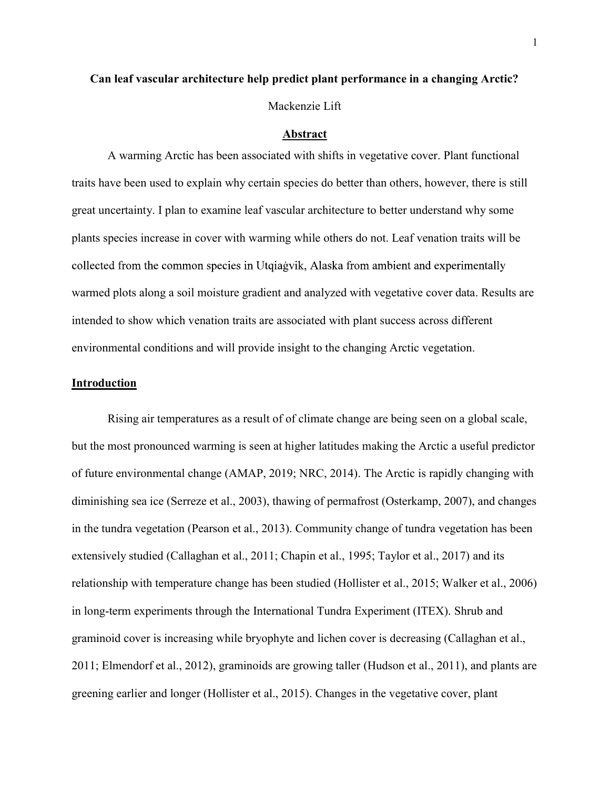## Can leaf vascular architecture help predict plant performance in a changing Arctic?

Mackenzie Lift

#### Abstract

A warming Arctic has been associated with shifts in vegetative cover. Plant functional traits have been used to explain why certain species do better than others, however, there is still great uncertainty. I plan to examine leaf vascular architecture to better understand why some plants species increase in cover with warming while others do not. Leaf venation traits will be collected from the common species in Utgiagvik, Alaska from ambient and experimentally warmed plots along a soil moisture gradient and analyzed with vegetative cover data. Results are intended to show which venation traits are associated with plant success across different environmental conditions and will provide insight to the changing Arctic vegetation.

### Introduction

Rising air temperatures as a result of of climate change are being seen on a global scale, but the most pronounced warming is seen at higher latitudes making the Arctic a useful predictor of future environmental change (AMAP, 2019; NRC, 2014). The Arctic is rapidly changing with diminishing sea ice (Serreze et al., 2003), thawing of permafrost (Osterkamp, 2007), and changes in the tundra vegetation (Pearson et al., 2013). Community change of tundra vegetation has been extensively studied (Callaghan et al., 2011; Chapin et al., 1995; Taylor et al., 2017) and its relationship with temperature change has been studied (Hollister et al., 2015; Walker et al., 2006) in long-term experiments through the International Tundra Experiment (ITEX). Shrub and graminoid cover is increasing while bryophyte and lichen cover is decreasing (Callaghan et al., 2011; Elmendorf et al., 2012), graminoids are growing taller (Hudson et al., 2011), and plants are greening earlier and longer (Hollister et al., 2015). Changes in the vegetative cover, plant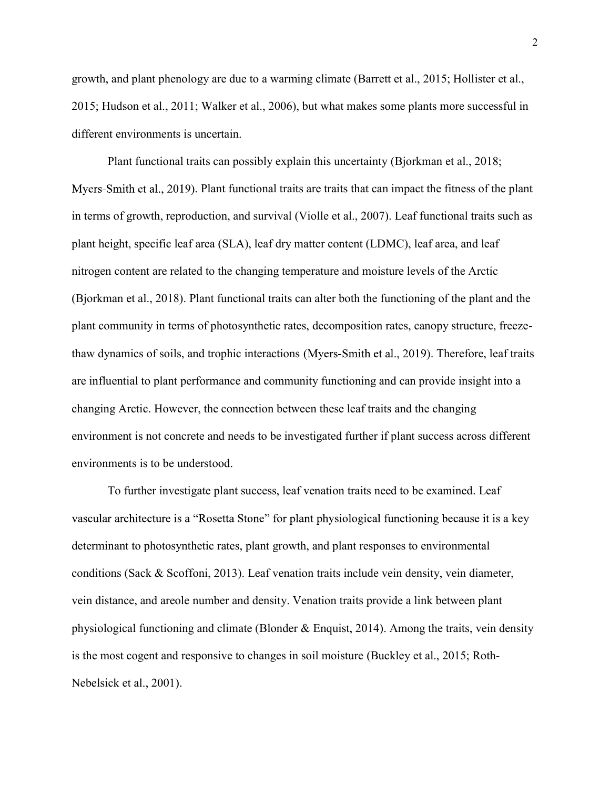growth, and plant phenology are due to a warming climate (Barrett et al., 2015; Hollister et al., 2015; Hudson et al., 2011; Walker et al., 2006), but what makes some plants more successful in different environments is uncertain.

Plant functional traits can possibly explain this uncertainty (Bjorkman et al., 2018; Myers-Smith et al., 2019). Plant functional traits are traits that can impact the fitness of the plant in terms of growth, reproduction, and survival (Violle et al., 2007). Leaf functional traits such as plant height, specific leaf area (SLA), leaf dry matter content (LDMC), leaf area, and leaf nitrogen content are related to the changing temperature and moisture levels of the Arctic (Bjorkman et al., 2018). Plant functional traits can alter both the functioning of the plant and the plant community in terms of photosynthetic rates, decomposition rates, canopy structure, freezethaw dynamics of soils, and trophic interactions (Myers-Smith et al., 2019). Therefore, leaf traits are influential to plant performance and community functioning and can provide insight into a changing Arctic. However, the connection between these leaf traits and the changing environment is not concrete and needs to be investigated further if plant success across different environments is to be understood.

 To further investigate plant success, leaf venation traits need to be examined. Leaf vascular architecture is a "Rosetta Stone" for plant physiological functioning because it is a key determinant to photosynthetic rates, plant growth, and plant responses to environmental conditions (Sack & Scoffoni, 2013). Leaf venation traits include vein density, vein diameter, vein distance, and areole number and density. Venation traits provide a link between plant physiological functioning and climate (Blonder & Enquist, 2014). Among the traits, vein density is the most cogent and responsive to changes in soil moisture (Buckley et al., 2015; Roth-Nebelsick et al., 2001).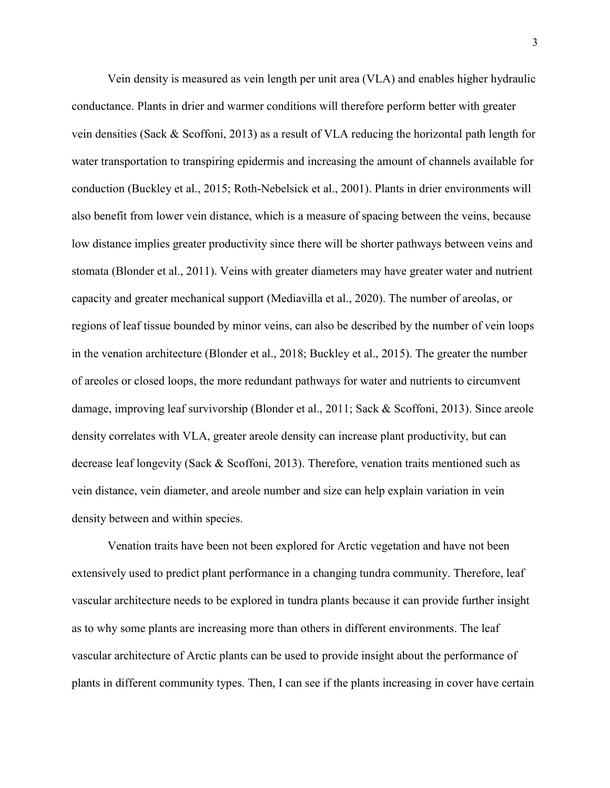Vein density is measured as vein length per unit area (VLA) and enables higher hydraulic conductance. Plants in drier and warmer conditions will therefore perform better with greater vein densities (Sack & Scoffoni, 2013) as a result of VLA reducing the horizontal path length for water transportation to transpiring epidermis and increasing the amount of channels available for conduction (Buckley et al., 2015; Roth-Nebelsick et al., 2001). Plants in drier environments will also benefit from lower vein distance, which is a measure of spacing between the veins, because low distance implies greater productivity since there will be shorter pathways between veins and stomata (Blonder et al., 2011). Veins with greater diameters may have greater water and nutrient capacity and greater mechanical support (Mediavilla et al., 2020). The number of areolas, or regions of leaf tissue bounded by minor veins, can also be described by the number of vein loops in the venation architecture (Blonder et al., 2018; Buckley et al., 2015). The greater the number of areoles or closed loops, the more redundant pathways for water and nutrients to circumvent damage, improving leaf survivorship (Blonder et al., 2011; Sack & Scoffoni, 2013). Since areole density correlates with VLA, greater areole density can increase plant productivity, but can decrease leaf longevity (Sack & Scoffoni, 2013). Therefore, venation traits mentioned such as vein distance, vein diameter, and areole number and size can help explain variation in vein density between and within species.

 Venation traits have been not been explored for Arctic vegetation and have not been extensively used to predict plant performance in a changing tundra community. Therefore, leaf vascular architecture needs to be explored in tundra plants because it can provide further insight as to why some plants are increasing more than others in different environments. The leaf vascular architecture of Arctic plants can be used to provide insight about the performance of plants in different community types. Then, I can see if the plants increasing in cover have certain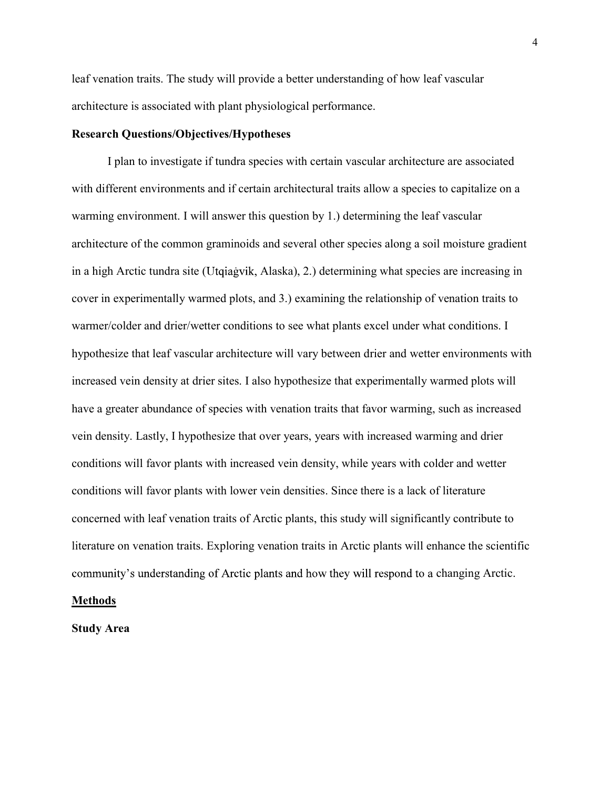leaf venation traits. The study will provide a better understanding of how leaf vascular architecture is associated with plant physiological performance.

### Research Questions/Objectives/Hypotheses

 I plan to investigate if tundra species with certain vascular architecture are associated with different environments and if certain architectural traits allow a species to capitalize on a warming environment. I will answer this question by 1.) determining the leaf vascular architecture of the common graminoids and several other species along a soil moisture gradient in a high Arctic tundra site (Utqiagvik, Alaska), 2.) determining what species are increasing in cover in experimentally warmed plots, and 3.) examining the relationship of venation traits to warmer/colder and drier/wetter conditions to see what plants excel under what conditions. I hypothesize that leaf vascular architecture will vary between drier and wetter environments with increased vein density at drier sites. I also hypothesize that experimentally warmed plots will have a greater abundance of species with venation traits that favor warming, such as increased vein density. Lastly, I hypothesize that over years, years with increased warming and drier conditions will favor plants with increased vein density, while years with colder and wetter conditions will favor plants with lower vein densities. Since there is a lack of literature concerned with leaf venation traits of Arctic plants, this study will significantly contribute to literature on venation traits. Exploring venation traits in Arctic plants will enhance the scientific community's understanding of Arctic plants and how they will respond to a changing Arctic.

#### **Methods**

Study Area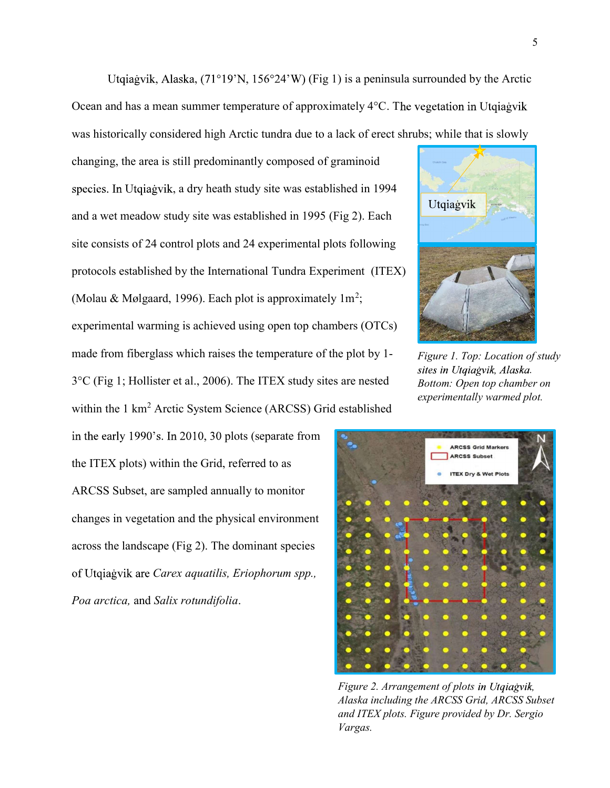Utqiagvik, Alaska, (71°19'N, 156°24'W) (Fig 1) is a peninsula surrounded by the Arctic Ocean and has a mean summer temperature of approximately  $4^{\circ}$ C. The vegetation in Utgiagvik was historically considered high Arctic tundra due to a lack of erect shrubs; while that is slowly

changing, the area is still predominantly composed of graminoid species. In Utgiagvik, a dry heath study site was established in 1994 and a wet meadow study site was established in 1995 (Fig 2). Each site consists of 24 control plots and 24 experimental plots following protocols established by the International Tundra Experiment (ITEX) (Molau & Mølgaard, 1996). Each plot is approximately  $1m^2$ ; experimental warming is achieved using open top chambers (OTCs) made from fiberglass which raises the temperature of the plot by 1- 3°C (Fig 1; Hollister et al., 2006). The ITEX study sites are nested within the 1 km<sup>2</sup> Arctic System Science (ARCSS) Grid established

in the early 1990's. In 2010, 30 plots (separate from the ITEX plots) within the Grid, referred to as ARCSS Subset, are sampled annually to monitor changes in vegetation and the physical environment across the landscape (Fig 2). The dominant species of Utqiagvik are Carex aquatilis, Eriophorum spp., Poa arctica, and Salix rotundifolia.



Figure 1. Top: Location of study sites in Utqiagvik, Alaska. Bottom: Open top chamber on experimentally warmed plot.



Figure 2. Arrangement of plots in Utqiagvik, Alaska including the ARCSS Grid, ARCSS Subset and ITEX plots. Figure provided by Dr. Sergio Vargas.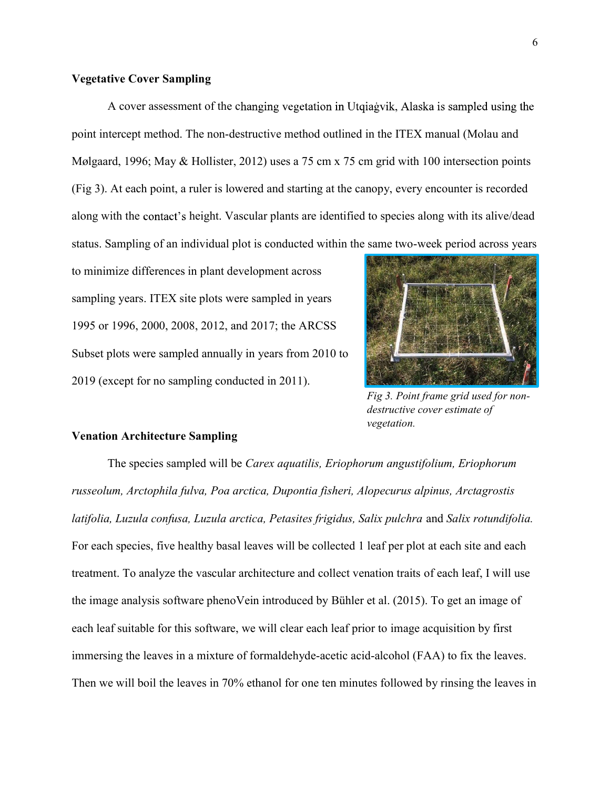# Vegetative Cover Sampling

A cover assessment of the changing vegetation in Utqiagvik, Alaska is sampled using the point intercept method. The non-destructive method outlined in the ITEX manual (Molau and Mølgaard, 1996; May & Hollister, 2012) uses a 75 cm x 75 cm grid with 100 intersection points (Fig 3). At each point, a ruler is lowered and starting at the canopy, every encounter is recorded along with the contact's height. Vascular plants are identified to species along with its alive/dead status. Sampling of an individual plot is conducted within the same two-week period across years

to minimize differences in plant development across sampling years. ITEX site plots were sampled in years 1995 or 1996, 2000, 2008, 2012, and 2017; the ARCSS Subset plots were sampled annually in years from 2010 to 2019 (except for no sampling conducted in 2011).



Fig 3. Point frame grid used for nondestructive cover estimate of vegetation.

#### Venation Architecture Sampling

 The species sampled will be Carex aquatilis, Eriophorum angustifolium, Eriophorum russeolum, Arctophila fulva, Poa arctica, Dupontia fisheri, Alopecurus alpinus, Arctagrostis latifolia, Luzula confusa, Luzula arctica, Petasites frigidus, Salix pulchra and Salix rotundifolia. For each species, five healthy basal leaves will be collected 1 leaf per plot at each site and each treatment. To analyze the vascular architecture and collect venation traits of each leaf, I will use the image analysis software phenoVein introduced by Bühler et al. (2015). To get an image of each leaf suitable for this software, we will clear each leaf prior to image acquisition by first immersing the leaves in a mixture of formaldehyde-acetic acid-alcohol (FAA) to fix the leaves. Then we will boil the leaves in 70% ethanol for one ten minutes followed by rinsing the leaves in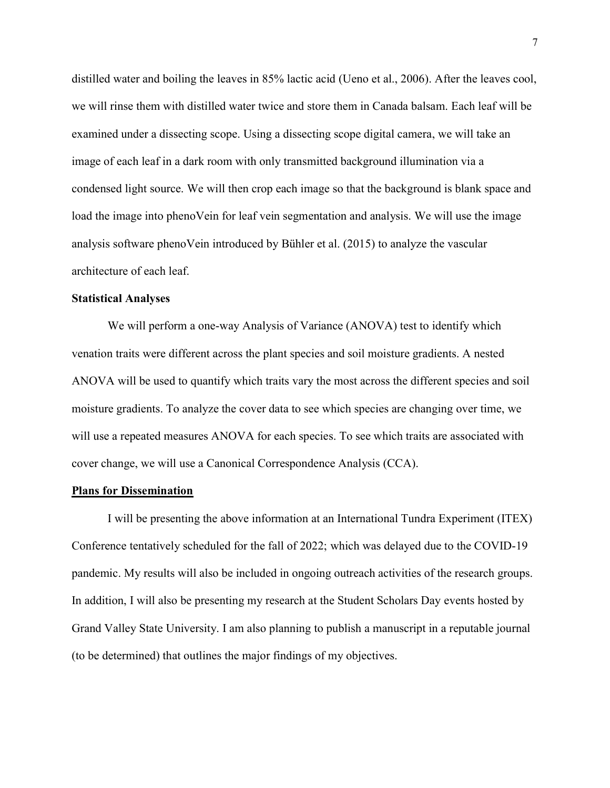distilled water and boiling the leaves in 85% lactic acid (Ueno et al., 2006). After the leaves cool, we will rinse them with distilled water twice and store them in Canada balsam. Each leaf will be examined under a dissecting scope. Using a dissecting scope digital camera, we will take an image of each leaf in a dark room with only transmitted background illumination via a condensed light source. We will then crop each image so that the background is blank space and load the image into phenoVein for leaf vein segmentation and analysis. We will use the image analysis software phenoVein introduced by Bühler et al. (2015) to analyze the vascular architecture of each leaf.

#### Statistical Analyses

 We will perform a one-way Analysis of Variance (ANOVA) test to identify which venation traits were different across the plant species and soil moisture gradients. A nested ANOVA will be used to quantify which traits vary the most across the different species and soil moisture gradients. To analyze the cover data to see which species are changing over time, we will use a repeated measures ANOVA for each species. To see which traits are associated with cover change, we will use a Canonical Correspondence Analysis (CCA).

#### Plans for Dissemination

 I will be presenting the above information at an International Tundra Experiment (ITEX) Conference tentatively scheduled for the fall of 2022; which was delayed due to the COVID-19 pandemic. My results will also be included in ongoing outreach activities of the research groups. In addition, I will also be presenting my research at the Student Scholars Day events hosted by Grand Valley State University. I am also planning to publish a manuscript in a reputable journal (to be determined) that outlines the major findings of my objectives.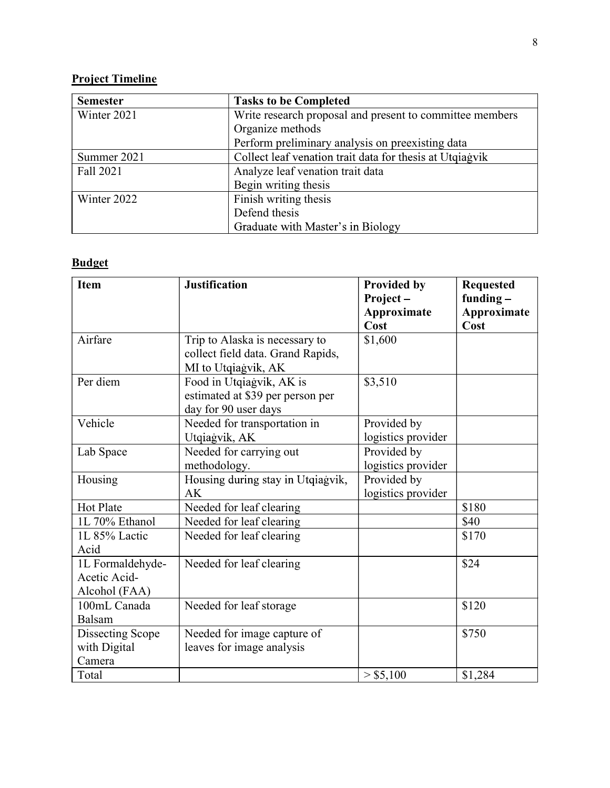# Project Timeline

| <b>Semester</b> | <b>Tasks to be Completed</b>                             |  |
|-----------------|----------------------------------------------------------|--|
| Winter 2021     | Write research proposal and present to committee members |  |
|                 | Organize methods                                         |  |
|                 | Perform preliminary analysis on preexisting data         |  |
| Summer 2021     | Collect leaf venation trait data for thesis at Utqiagvik |  |
| Fall 2021       | Analyze leaf venation trait data                         |  |
|                 | Begin writing thesis                                     |  |
| Winter 2022     | Finish writing thesis                                    |  |
|                 | Defend thesis                                            |  |
|                 | Graduate with Master's in Biology                        |  |

# Budget

| Item                                              | <b>Justification</b>                                                                       | <b>Provided by</b><br>Project-<br>Approximate<br>Cost | <b>Requested</b><br>funding $-$<br>Approximate<br>Cost |
|---------------------------------------------------|--------------------------------------------------------------------------------------------|-------------------------------------------------------|--------------------------------------------------------|
| Airfare                                           | Trip to Alaska is necessary to<br>collect field data. Grand Rapids,<br>MI to Utqiagvik, AK | \$1,600                                               |                                                        |
| Per diem                                          | Food in Utqiagvik, AK is<br>estimated at \$39 per person per<br>day for 90 user days       | \$3,510                                               |                                                        |
| Vehicle                                           | Needed for transportation in<br>Utqiagvik, AK                                              | Provided by<br>logistics provider                     |                                                        |
| Lab Space                                         | Needed for carrying out<br>methodology.                                                    | Provided by<br>logistics provider                     |                                                        |
| Housing                                           | Housing during stay in Utqiagvik,<br>AK                                                    | Provided by<br>logistics provider                     |                                                        |
| Hot Plate                                         | Needed for leaf clearing                                                                   |                                                       | \$180                                                  |
| 1L 70% Ethanol                                    | Needed for leaf clearing                                                                   |                                                       | \$40                                                   |
| 1L 85% Lactic<br>Acid                             | Needed for leaf clearing                                                                   |                                                       | \$170                                                  |
| 1L Formaldehyde-<br>Acetic Acid-<br>Alcohol (FAA) | Needed for leaf clearing                                                                   |                                                       | \$24                                                   |
| 100mL Canada<br>Balsam                            | Needed for leaf storage                                                                    |                                                       | \$120                                                  |
| <b>Dissecting Scope</b><br>with Digital<br>Camera | Needed for image capture of<br>leaves for image analysis                                   |                                                       | \$750                                                  |
| Total                                             |                                                                                            | > \$5,100                                             | \$1,284                                                |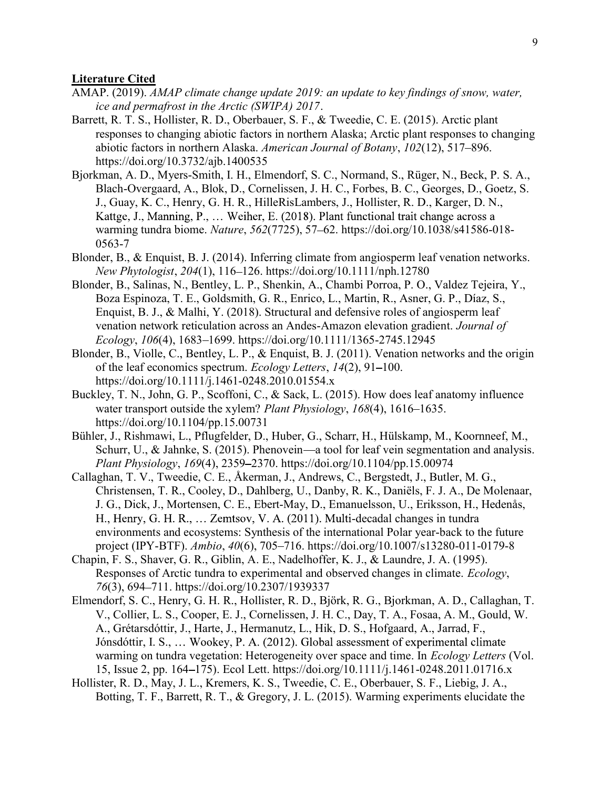# Literature Cited

- AMAP. (2019). AMAP climate change update 2019: an update to key findings of snow, water, ice and permafrost in the Arctic (SWIPA) 2017.
- Barrett, R. T. S., Hollister, R. D., Oberbauer, S. F., & Tweedie, C. E. (2015). Arctic plant responses to changing abiotic factors in northern Alaska; Arctic plant responses to changing abiotic factors in northern Alaska. American Journal of Botany, 102(12), 517–896. https://doi.org/10.3732/ajb.1400535
- Bjorkman, A. D., Myers-Smith, I. H., Elmendorf, S. C., Normand, S., Rüger, N., Beck, P. S. A., Blach-Overgaard, A., Blok, D., Cornelissen, J. H. C., Forbes, B. C., Georges, D., Goetz, S. J., Guay, K. C., Henry, G. H. R., HilleRisLambers, J., Hollister, R. D., Karger, D. N., Kattge, J., Manning, P., ... Weiher, E. (2018). Plant functional trait change across a warming tundra biome. Nature, 562(7725), 57–62. https://doi.org/10.1038/s41586-018-0563-7
- Blonder, B., & Enquist, B. J. (2014). Inferring climate from angiosperm leaf venation networks. New Phytologist, 204(1), 116-126. https://doi.org/10.1111/nph.12780
- Blonder, B., Salinas, N., Bentley, L. P., Shenkin, A., Chambi Porroa, P. O., Valdez Tejeira, Y., Boza Espinoza, T. E., Goldsmith, G. R., Enrico, L., Martin, R., Asner, G. P., Díaz, S., Enquist, B. J., & Malhi, Y. (2018). Structural and defensive roles of angiosperm leaf venation network reticulation across an Andes-Amazon elevation gradient. Journal of  $Ecology, 106(4), 1683-1699.$  https://doi.org/10.1111/1365-2745.12945
- Blonder, B., Violle, C., Bentley, L. P., & Enquist, B. J. (2011). Venation networks and the origin of the leaf economics spectrum. Ecology Letters, 14(2), 91–100. https://doi.org/10.1111/j.1461-0248.2010.01554.x
- Buckley, T. N., John, G. P., Scoffoni, C., & Sack, L. (2015). How does leaf anatomy influence water transport outside the xylem? Plant Physiology, 168(4), 1616–1635. https://doi.org/10.1104/pp.15.00731
- Bühler, J., Rishmawi, L., Pflugfelder, D., Huber, G., Scharr, H., Hülskamp, M., Koornneef, M., Schurr, U., & Jahnke, S. (2015). Phenovein—a tool for leaf vein segmentation and analysis. Plant Physiology, 169(4), 2359 2370. https://doi.org/10.1104/pp.15.00974
- Callaghan, T. V., Tweedie, C. E., Åkerman, J., Andrews, C., Bergstedt, J., Butler, M. G., Christensen, T. R., Cooley, D., Dahlberg, U., Danby, R. K., Daniëls, F. J. A., De Molenaar, J. G., Dick, J., Mortensen, C. E., Ebert-May, D., Emanuelsson, U., Eriksson, H., Hedenås, H., Henry, G. H. R.,  $\dots$  Zemtsov, V. A. (2011). Multi-decadal changes in tundra environments and ecosystems: Synthesis of the international Polar year-back to the future project (IPY-BTF). Ambio, 40(6), 705-716. https://doi.org/10.1007/s13280-011-0179-8
- Chapin, F. S., Shaver, G. R., Giblin, A. E., Nadelhoffer, K. J., & Laundre, J. A. (1995). Responses of Arctic tundra to experimental and observed changes in climate. Ecology, 76(3), 694–711. https://doi.org/10.2307/1939337
- Elmendorf, S. C., Henry, G. H. R., Hollister, R. D., Björk, R. G., Bjorkman, A. D., Callaghan, T. V., Collier, L. S., Cooper, E. J., Cornelissen, J. H. C., Day, T. A., Fosaa, A. M., Gould, W. A., Grétarsdóttir, J., Harte, J., Hermanutz, L., Hik, D. S., Hofgaard, A., Jarrad, F., Jónsdóttir, I. S., ... Wookey, P. A. (2012). Global assessment of experimental climate warming on tundra vegetation: Heterogeneity over space and time. In *Ecology Letters* (Vol. 15, Issue 2, pp. 164 175). Ecol Lett. https://doi.org/10.1111/j.1461-0248.2011.01716.x
- Hollister, R. D., May, J. L., Kremers, K. S., Tweedie, C. E., Oberbauer, S. F., Liebig, J. A., Botting, T. F., Barrett, R. T., & Gregory, J. L. (2015). Warming experiments elucidate the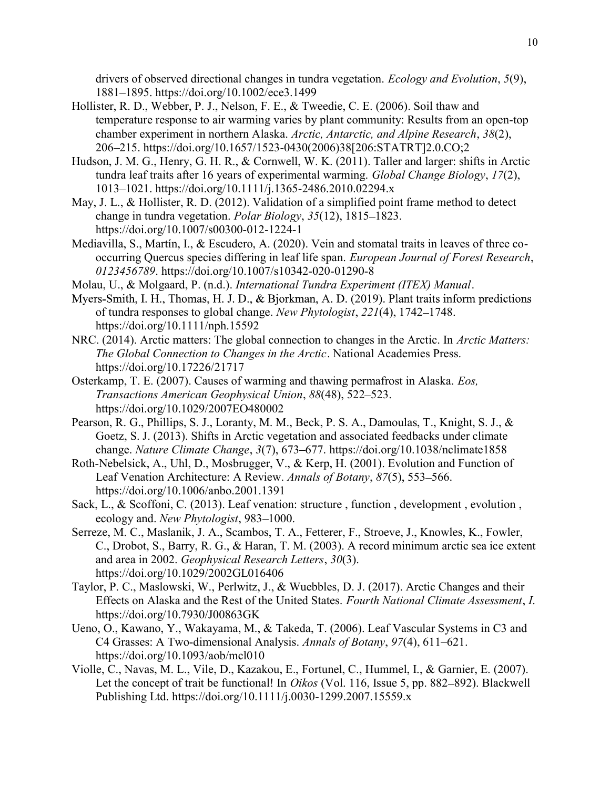drivers of observed directional changes in tundra vegetation. *Ecology and Evolution*, 5(9), 1881 1895. https://doi.org/10.1002/ece3.1499

- Hollister, R. D., Webber, P. J., Nelson, F. E., & Tweedie, C. E. (2006). Soil thaw and temperature response to air warming varies by plant community: Results from an open-top chamber experiment in northern Alaska. Arctic, Antarctic, and Alpine Research, 38(2), 206 215. https://doi.org/10.1657/1523-0430(2006)38[206:STATRT]2.0.CO;2
- Hudson, J. M. G., Henry, G. H. R., & Cornwell, W. K. (2011). Taller and larger: shifts in Arctic tundra leaf traits after 16 years of experimental warming. Global Change Biology, 17(2), 1013 1021. https://doi.org/10.1111/j.1365-2486.2010.02294.x
- May, J. L., & Hollister, R. D. (2012). Validation of a simplified point frame method to detect change in tundra vegetation. *Polar Biology*,  $35(12)$ ,  $1815-1823$ . https://doi.org/10.1007/s00300-012-1224-1
- Mediavilla, S., Martín, I., & Escudero, A. (2020). Vein and stomatal traits in leaves of three cooccurring Quercus species differing in leaf life span. European Journal of Forest Research, 0123456789. https://doi.org/10.1007/s10342-020-01290-8
- Molau, U., & Molgaard, P. (n.d.). International Tundra Experiment (ITEX) Manual.
- Myers-Smith, I. H., Thomas, H. J. D., & Bjorkman, A. D. (2019). Plant traits inform predictions of tundra responses to global change. New Phytologist, 221(4), 1742–1748. https://doi.org/10.1111/nph.15592
- NRC. (2014). Arctic matters: The global connection to changes in the Arctic. In *Arctic Matters*: The Global Connection to Changes in the Arctic. National Academies Press. https://doi.org/10.17226/21717
- Osterkamp, T. E. (2007). Causes of warming and thawing permafrost in Alaska. Eos, Transactions American Geophysical Union, 88(48), 522–523. https://doi.org/10.1029/2007EO480002
- Pearson, R. G., Phillips, S. J., Loranty, M. M., Beck, P. S. A., Damoulas, T., Knight, S. J., & Goetz, S. J. (2013). Shifts in Arctic vegetation and associated feedbacks under climate change. Nature Climate Change, 3(7), 673–677. https://doi.org/10.1038/nclimate1858
- Roth-Nebelsick, A., Uhl, D., Mosbrugger, V., & Kerp, H. (2001). Evolution and Function of Leaf Venation Architecture: A Review. Annals of Botany, 87(5), 553–566. https://doi.org/10.1006/anbo.2001.1391
- Sack, L., & Scoffoni, C. (2013). Leaf venation: structure , function , development , evolution , ecology and. New Phytologist, 983–1000.
- Serreze, M. C., Maslanik, J. A., Scambos, T. A., Fetterer, F., Stroeve, J., Knowles, K., Fowler, C., Drobot, S., Barry, R. G., & Haran, T. M. (2003). A record minimum arctic sea ice extent and area in 2002. Geophysical Research Letters, 30(3). https://doi.org/10.1029/2002GL016406
- Taylor, P. C., Maslowski, W., Perlwitz, J., & Wuebbles, D. J. (2017). Arctic Changes and their Effects on Alaska and the Rest of the United States. Fourth National Climate Assessment, I. https://doi.org/10.7930/J00863GK
- Ueno, O., Kawano, Y., Wakayama, M., & Takeda, T. (2006). Leaf Vascular Systems in C3 and C4 Grasses: A Two-dimensional Analysis. Annals of Botany, 97(4), 611–621. https://doi.org/10.1093/aob/mcl010
- Violle, C., Navas, M. L., Vile, D., Kazakou, E., Fortunel, C., Hummel, I., & Garnier, E. (2007). Let the concept of trait be functional! In Oikos (Vol. 116, Issue 5, pp. 882–892). Blackwell Publishing Ltd. https://doi.org/10.1111/j.0030-1299.2007.15559.x